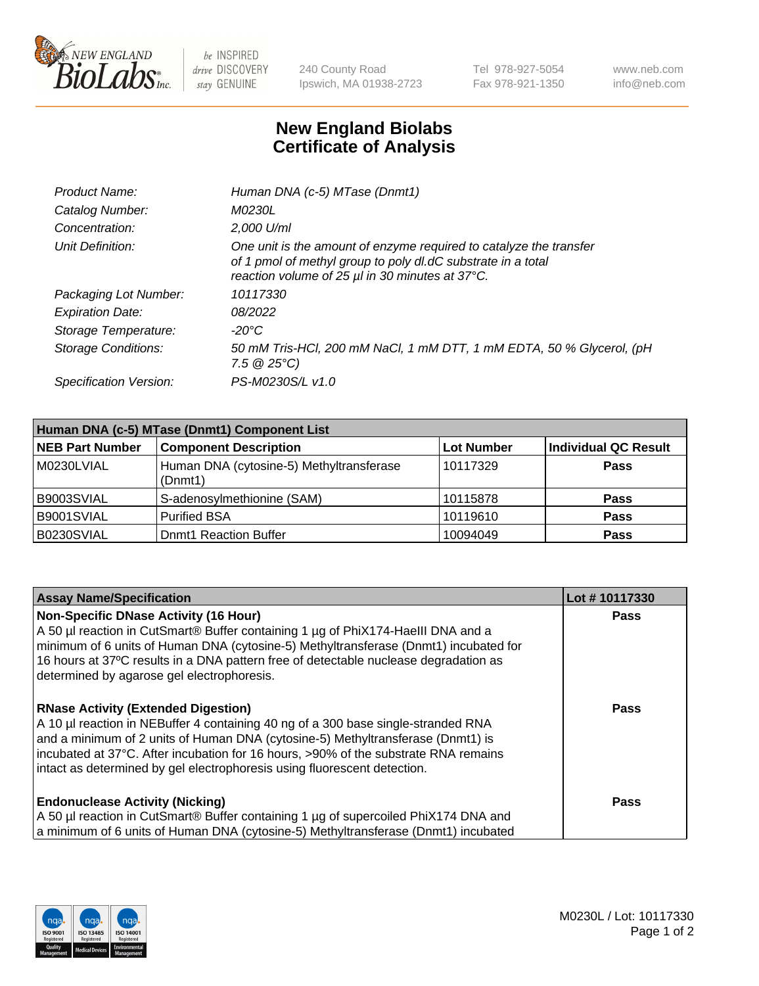

 $be$  INSPIRED drive DISCOVERY stay GENUINE

240 County Road Ipswich, MA 01938-2723 Tel 978-927-5054 Fax 978-921-1350 www.neb.com info@neb.com

## **New England Biolabs Certificate of Analysis**

| Product Name:           | Human DNA (c-5) MTase (Dnmt1)                                                                                                                                                         |
|-------------------------|---------------------------------------------------------------------------------------------------------------------------------------------------------------------------------------|
| Catalog Number:         | <i>M0230L</i>                                                                                                                                                                         |
| Concentration:          | 2,000 U/ml                                                                                                                                                                            |
| Unit Definition:        | One unit is the amount of enzyme required to catalyze the transfer<br>of 1 pmol of methyl group to poly dl.dC substrate in a total<br>reaction volume of 25 µl in 30 minutes at 37°C. |
| Packaging Lot Number:   | 10117330                                                                                                                                                                              |
| <b>Expiration Date:</b> | 08/2022                                                                                                                                                                               |
| Storage Temperature:    | $-20^{\circ}$ C                                                                                                                                                                       |
| Storage Conditions:     | 50 mM Tris-HCl, 200 mM NaCl, 1 mM DTT, 1 mM EDTA, 50 % Glycerol, (pH<br>7.5 $@25°C$ )                                                                                                 |
| Specification Version:  | PS-M0230S/L v1.0                                                                                                                                                                      |

| Human DNA (c-5) MTase (Dnmt1) Component List |                                                     |                   |                      |  |  |
|----------------------------------------------|-----------------------------------------------------|-------------------|----------------------|--|--|
| <b>NEB Part Number</b>                       | <b>Component Description</b>                        | <b>Lot Number</b> | Individual QC Result |  |  |
| M0230LVIAL                                   | Human DNA (cytosine-5) Methyltransferase<br>(Dnmt1) | 10117329          | <b>Pass</b>          |  |  |
| B9003SVIAL                                   | S-adenosylmethionine (SAM)                          | 10115878          | <b>Pass</b>          |  |  |
| B9001SVIAL                                   | <b>Purified BSA</b>                                 | 10119610          | <b>Pass</b>          |  |  |
| B0230SVIAL                                   | <b>Dnmt1 Reaction Buffer</b>                        | 10094049          | <b>Pass</b>          |  |  |

| <b>Assay Name/Specification</b>                                                                                                                                                                                                                                                                                                                                                       | Lot #10117330 |
|---------------------------------------------------------------------------------------------------------------------------------------------------------------------------------------------------------------------------------------------------------------------------------------------------------------------------------------------------------------------------------------|---------------|
| <b>Non-Specific DNase Activity (16 Hour)</b><br>A 50 µl reaction in CutSmart® Buffer containing 1 µg of PhiX174-Haelll DNA and a<br>minimum of 6 units of Human DNA (cytosine-5) Methyltransferase (Dnmt1) incubated for<br>16 hours at 37°C results in a DNA pattern free of detectable nuclease degradation as<br>determined by agarose gel electrophoresis.                        | Pass          |
| <b>RNase Activity (Extended Digestion)</b><br>A 10 µl reaction in NEBuffer 4 containing 40 ng of a 300 base single-stranded RNA<br>and a minimum of 2 units of Human DNA (cytosine-5) Methyltransferase (Dnmt1) is<br>incubated at 37°C. After incubation for 16 hours, >90% of the substrate RNA remains<br>intact as determined by gel electrophoresis using fluorescent detection. | <b>Pass</b>   |
| <b>Endonuclease Activity (Nicking)</b><br>A 50 µl reaction in CutSmart® Buffer containing 1 µg of supercoiled PhiX174 DNA and<br>a minimum of 6 units of Human DNA (cytosine-5) Methyltransferase (Dnmt1) incubated                                                                                                                                                                   | <b>Pass</b>   |